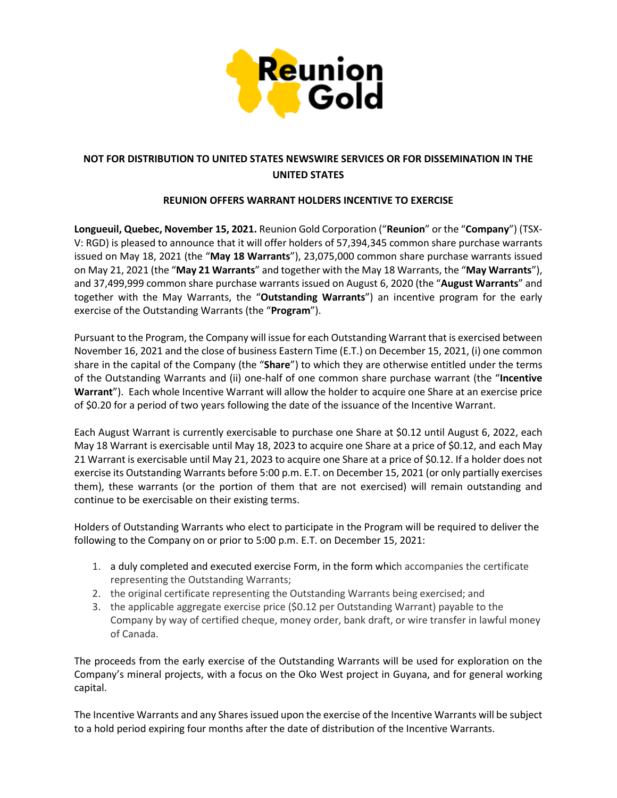

# **NOT FOR DISTRIBUTION TO UNITED STATES NEWSWIRE SERVICES OR FOR DISSEMINATION IN THE UNITED STATES**

### **REUNION OFFERS WARRANT HOLDERS INCENTIVE TO EXERCISE**

**Longueuil, Quebec, November 15, 2021.** Reunion Gold Corporation ("**Reunion**" or the "**Company**") (TSX-V: RGD) is pleased to announce that it will offer holders of 57,394,345 common share purchase warrants issued on May 18, 2021 (the "**May 18 Warrants**"), 23,075,000 common share purchase warrants issued on May 21, 2021 (the "**May 21 Warrants**" and together with the May 18 Warrants, the "**May Warrants**"), and 37,499,999 common share purchase warrants issued on August 6, 2020 (the "**August Warrants**" and together with the May Warrants, the "**Outstanding Warrants**") an incentive program for the early exercise of the Outstanding Warrants (the "**Program**").

Pursuant to the Program, the Company will issue for each Outstanding Warrant that is exercised between November 16, 2021 and the close of business Eastern Time (E.T.) on December 15, 2021, (i) one common share in the capital of the Company (the "**Share**") to which they are otherwise entitled under the terms of the Outstanding Warrants and (ii) one-half of one common share purchase warrant (the "**Incentive Warrant**"). Each whole Incentive Warrant will allow the holder to acquire one Share at an exercise price of \$0.20 for a period of two years following the date of the issuance of the Incentive Warrant.

Each August Warrant is currently exercisable to purchase one Share at \$0.12 until August 6, 2022, each May 18 Warrant is exercisable until May 18, 2023 to acquire one Share at a price of \$0.12, and each May 21 Warrant is exercisable until May 21, 2023 to acquire one Share at a price of \$0.12. If a holder does not exercise its Outstanding Warrants before 5:00 p.m. E.T. on December 15, 2021 (or only partially exercises them), these warrants (or the portion of them that are not exercised) will remain outstanding and continue to be exercisable on their existing terms.

Holders of Outstanding Warrants who elect to participate in the Program will be required to deliver the following to the Company on or prior to 5:00 p.m. E.T. on December 15, 2021:

- 1. a duly completed and executed exercise Form, in the form which accompanies the certificate representing the Outstanding Warrants;
- 2. the original certificate representing the Outstanding Warrants being exercised; and
- 3. the applicable aggregate exercise price (\$0.12 per Outstanding Warrant) payable to the Company by way of certified cheque, money order, bank draft, or wire transfer in lawful money of Canada.

The proceeds from the early exercise of the Outstanding Warrants will be used for exploration on the Company's mineral projects, with a focus on the Oko West project in Guyana, and for general working capital.

The Incentive Warrants and any Shares issued upon the exercise of the Incentive Warrants will be subject to a hold period expiring four months after the date of distribution of the Incentive Warrants.